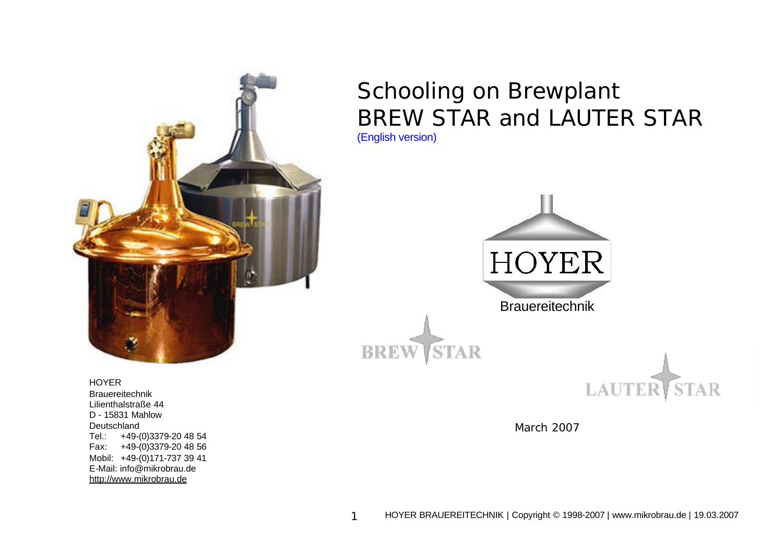

Schooling on Brewplant BREW STAR and LAUTER STAR (English version)



HOYER Brauereitechnik Lilienthalstraße 44 D - 15831 Mahlow Deutschland Tel.: +49-(0)3379-20 48 54 Fax: +49-(0)3379-20 48 56 Mobil: +49-(0)171-737 39 41 E-Mail: info@mikrobrau.de http://www.mikrobrau.de

March 2007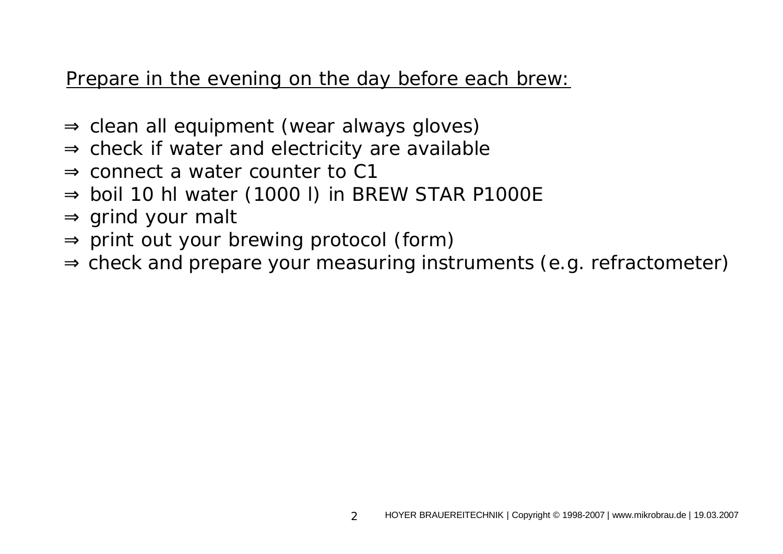# Prepare in the evening on the day before each brew:

- $\Rightarrow$  clean all equipment (wear always gloves)
- $\Rightarrow$  check if water and electricity are available
- ⇒ connect a water counter to C1
- $\Rightarrow$  boil 10 hl water (1000 l) in BREW STAR P1000E
- $\Rightarrow$  grind your malt
- $\Rightarrow$  print out your brewing protocol (form)
- ⇒ check and prepare your measuring instruments (e.g. refractometer)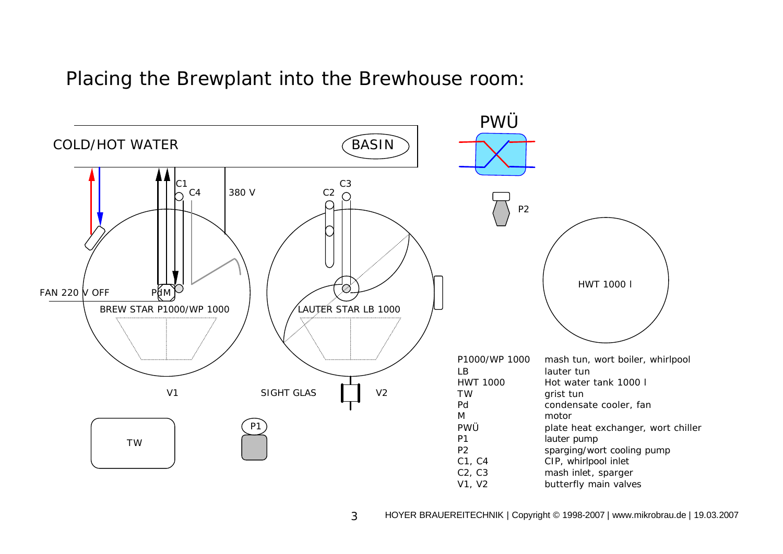#### Placing the Brewplant into the Brewhouse room:

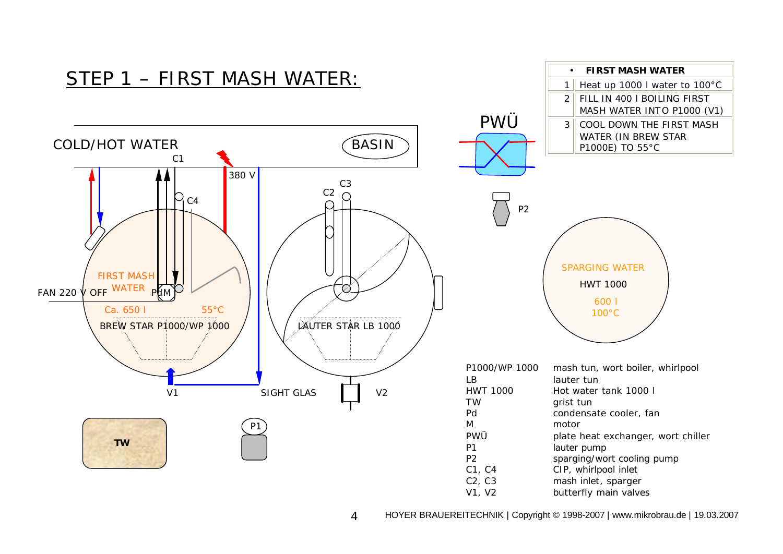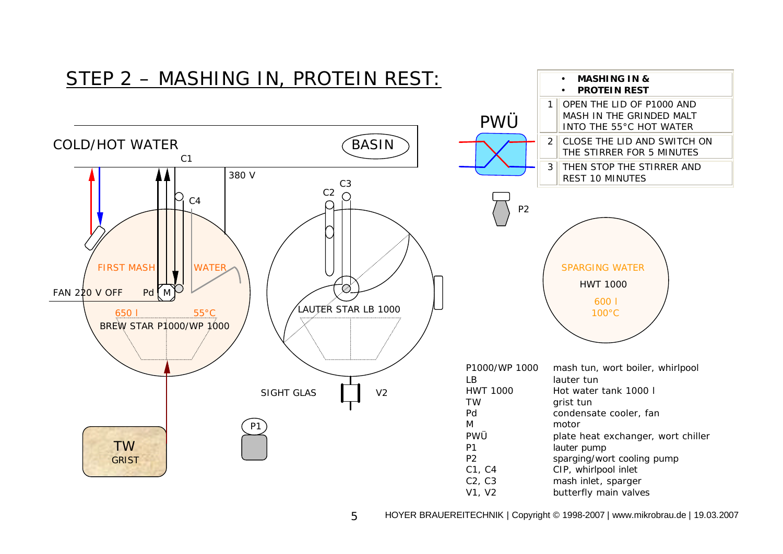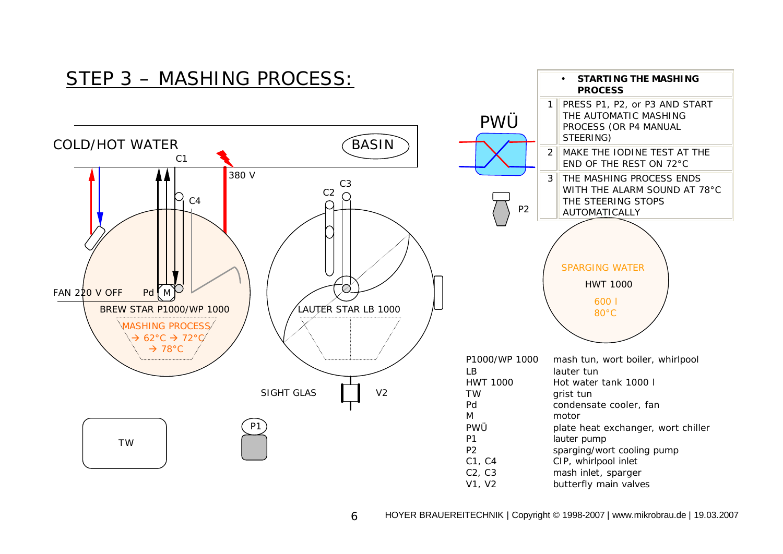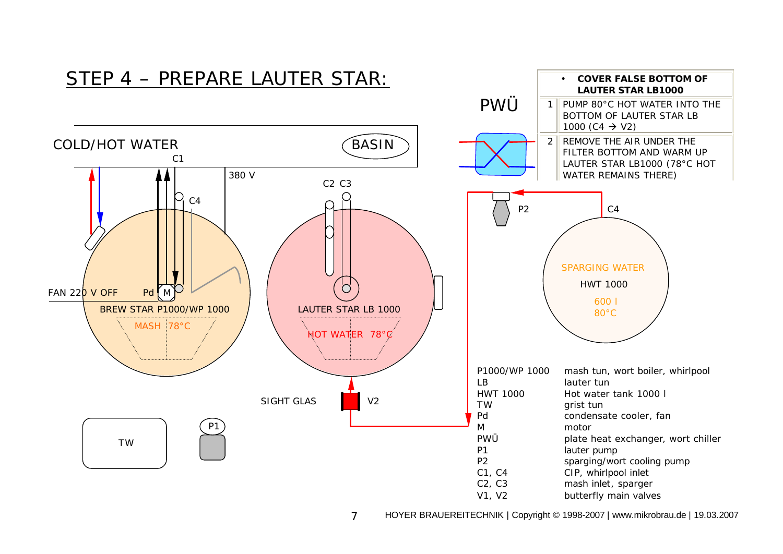

7 HOYER BRAUEREITECHNIK | Copyright © 1998-2007 | www.mikrobrau.de | 19.03.2007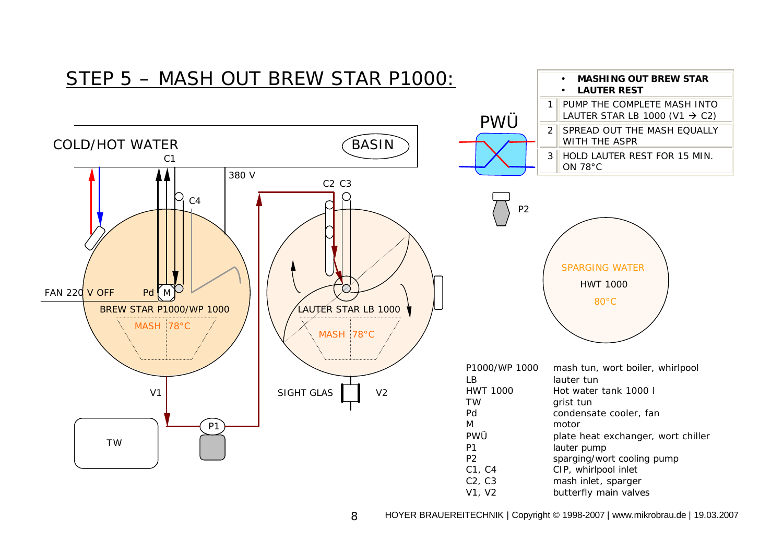![](_page_7_Figure_0.jpeg)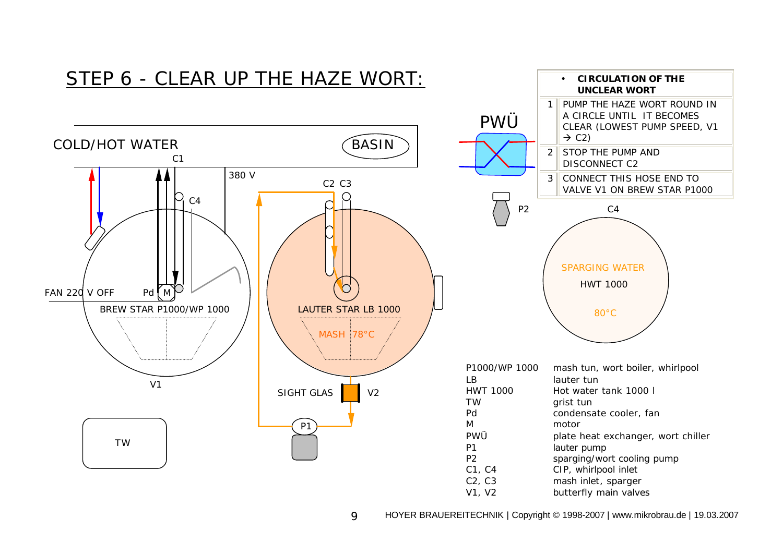![](_page_8_Figure_0.jpeg)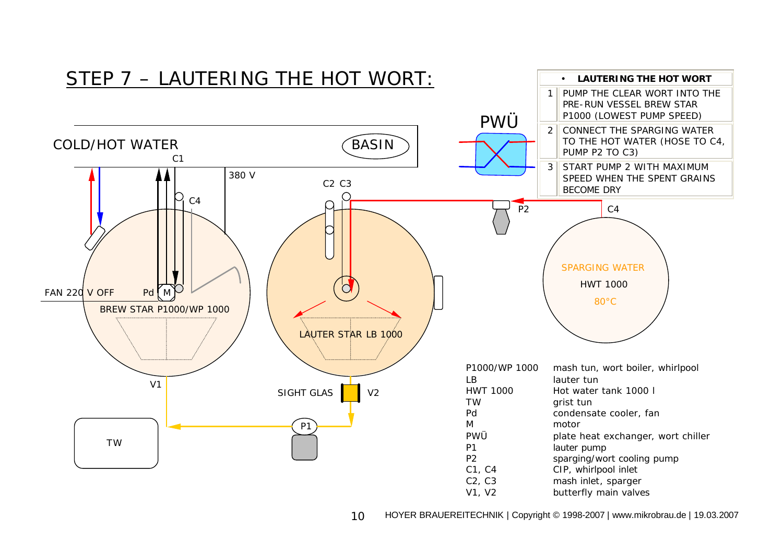![](_page_9_Figure_0.jpeg)

10 HOYER BRAUEREITECHNIK | Copyright © 1998-2007 | www.mikrobrau.de | 19.03.2007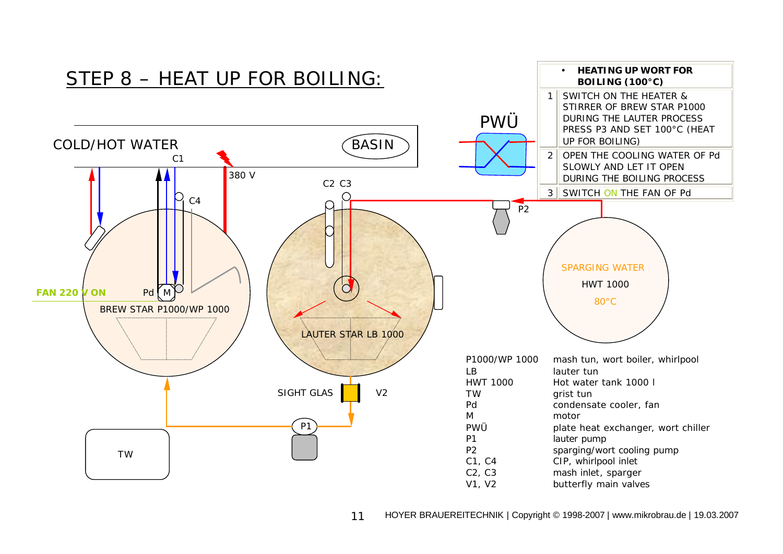![](_page_10_Figure_0.jpeg)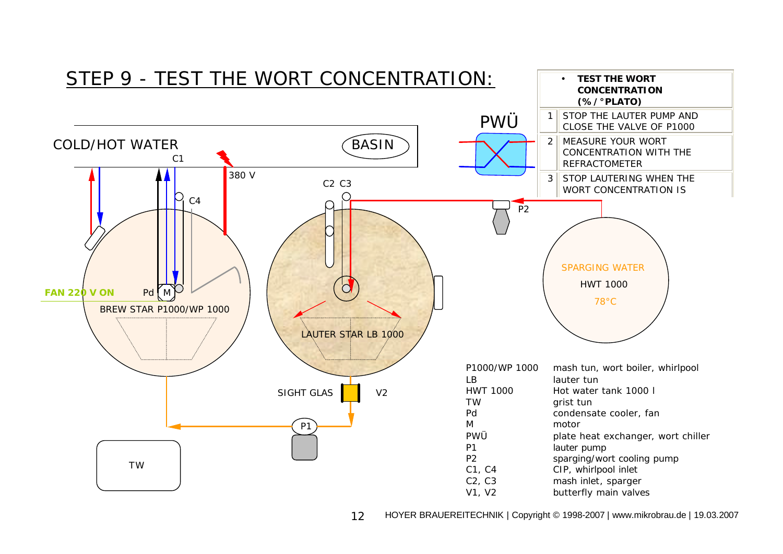![](_page_11_Figure_0.jpeg)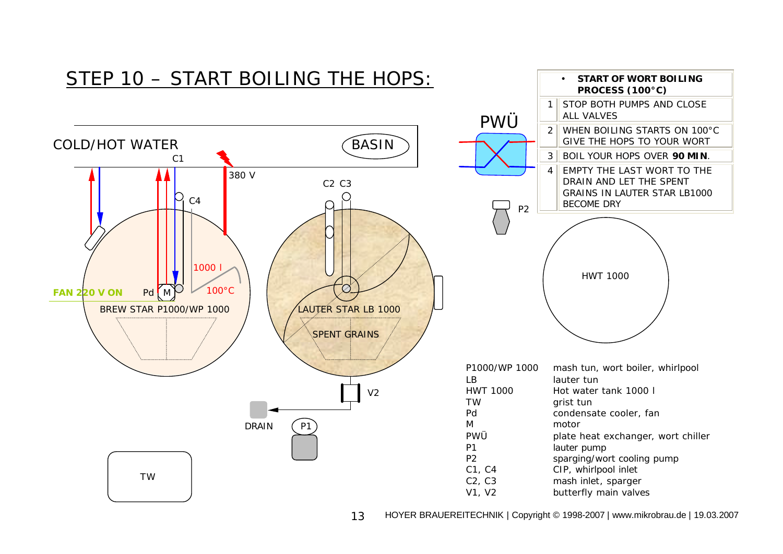![](_page_12_Figure_0.jpeg)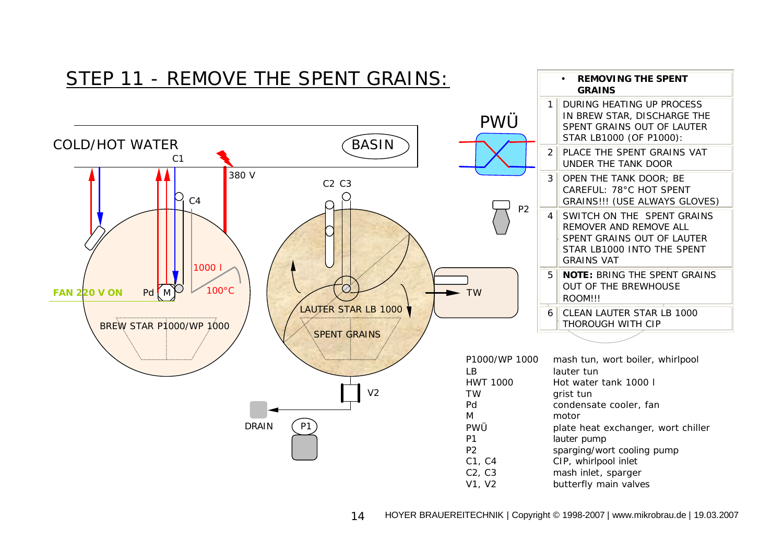![](_page_13_Figure_0.jpeg)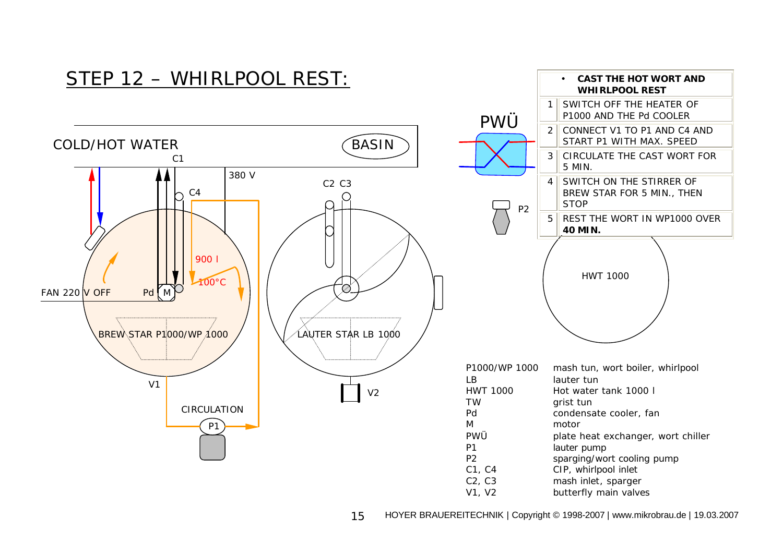![](_page_14_Figure_0.jpeg)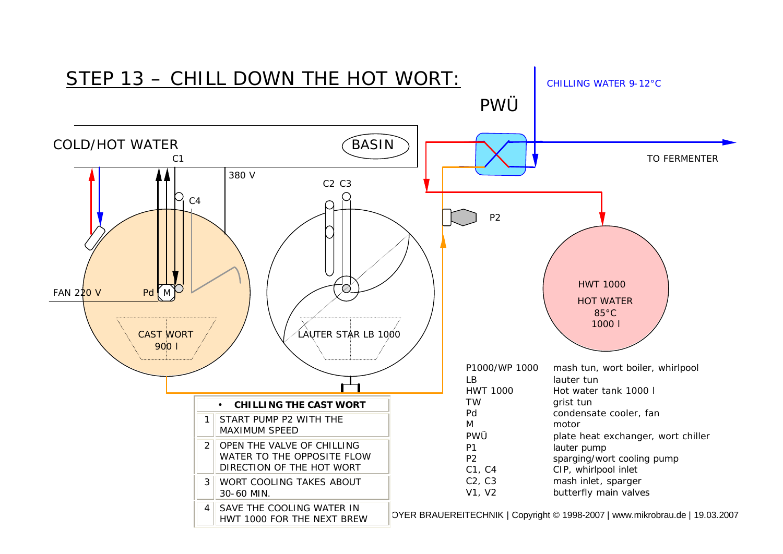![](_page_15_Figure_0.jpeg)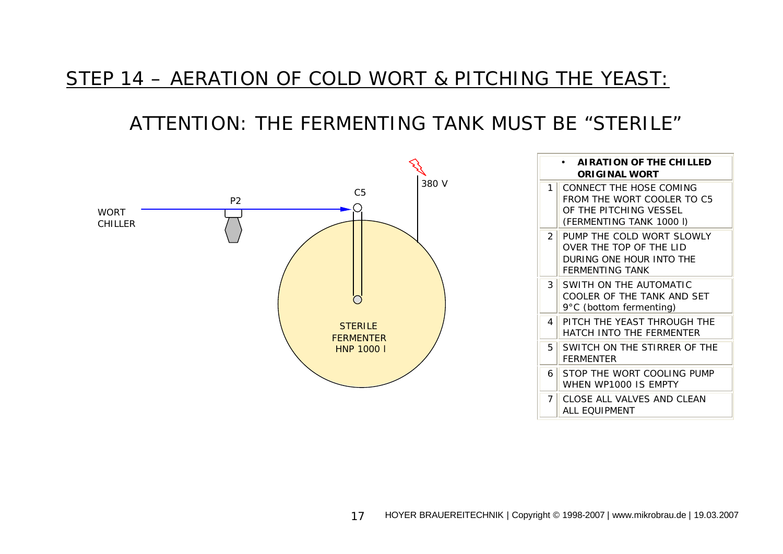### STEP 14 – AERATION OF COLD WORT & PITCHING THE YEAST:

## ATTENTION: THE FERMENTING TANK MUST BE "STERILE"

![](_page_16_Figure_2.jpeg)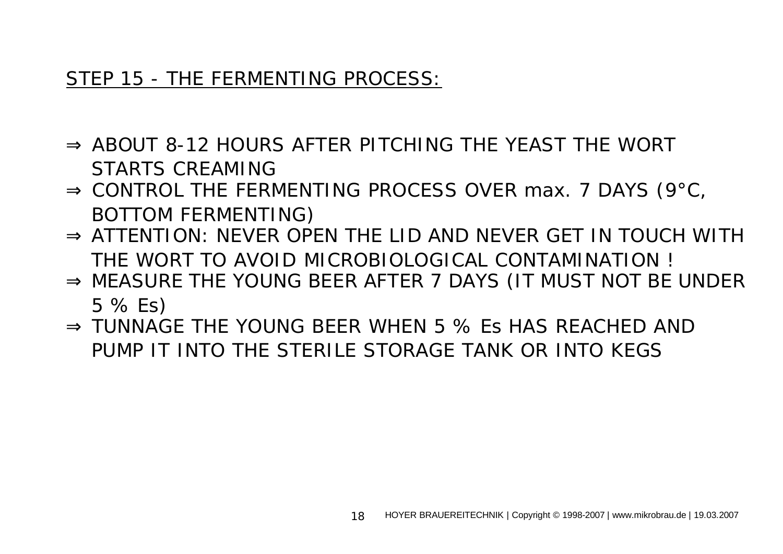#### STEP 15 - THE FERMENTING PROCESS:

- ⇒ ABOUT 8-12 HOURS AFTER PITCHING THE YFAST THE WORT STARTS CREAMING
- $\Rightarrow$  CONTROL THE FERMENTING PROCESS OVER max. 7 DAYS (9 $^{\circ}$ C, BOTTOM FERMENTING)
- $\Rightarrow$  ATTENTION: NEVER OPEN THE LID AND NEVER GET IN TOUCH WITH THE WORT TO AVOID MICROBIOLOGICAL CONTAMINATION !
- $\Rightarrow$  MEASURE THE YOUNG BEER AFTER 7 DAYS (IT MUST NOT BE UNDER 5 % Es)
- ⇒ TUNNAGE THE YOUNG BEER WHEN 5 % Es HAS REACHED AND PUMP IT INTO THE STERILE STORAGE TANK OR INTO KEGS